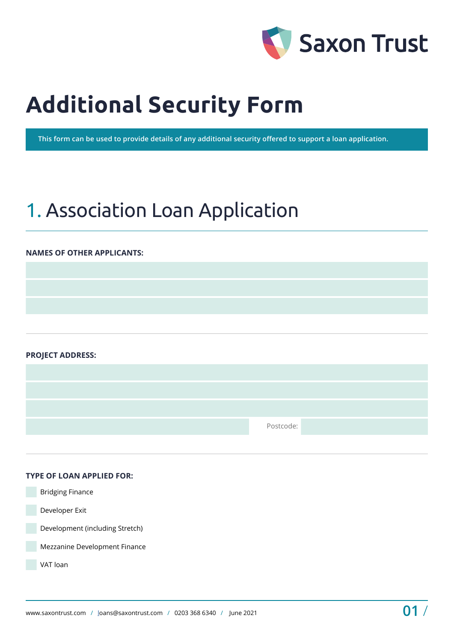

# **Additional Security Form**

**This form can be used to provide details of any additional security offered to support a loan application.**

# 1. Association Loan Application

### **NAMES OF OTHER APPLICANTS:**

**PROJECT ADDRESS:** 

Postcode:

### **TYPE OF LOAN APPLIED FOR:**

 Bridging Finance Developer Exit Development (including Stretch) Mezzanine Development Finance VAT loan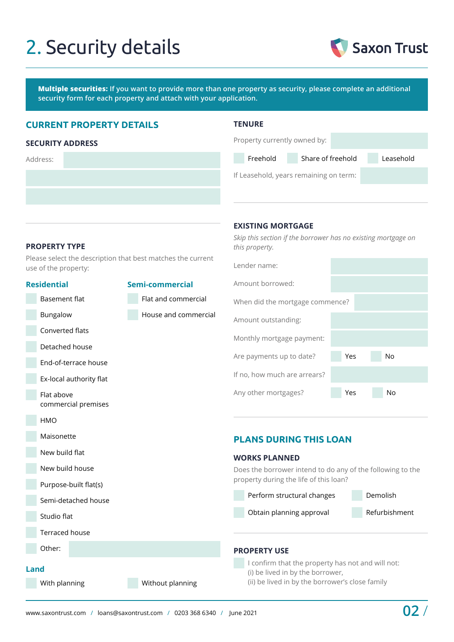# 2. Security details



**Multiple securities: If you want to provide more than one property as security, please complete an additional security form for each property and attach with your application.**

# **CURRENT PROPERTY DETAILS**

#### **SECURITY ADDRESS**

Address:

| w<br>ı<br>and the state of the state of the state of the state of the state of the state of the state of the state of th<br>× |  |
|-------------------------------------------------------------------------------------------------------------------------------|--|
|-------------------------------------------------------------------------------------------------------------------------------|--|

**EXISTING MORTGAGE**

*this property.*

Lender name:

| Property currently owned by:           |                   |           |  |  |  |
|----------------------------------------|-------------------|-----------|--|--|--|
| Freehold                               | Share of freehold | Leasehold |  |  |  |
| If Leasehold, years remaining on term: |                   |           |  |  |  |

*Skip this section if the borrower has no existing mortgage on* 

### **PROPERTY TYPE**

Please select the description that best matches the current use of the property:

|                                   | <b>Residential</b>                |                  | Semi-commercial                                                                                                                          | Amount borrowed:                                           |
|-----------------------------------|-----------------------------------|------------------|------------------------------------------------------------------------------------------------------------------------------------------|------------------------------------------------------------|
|                                   | <b>Basement flat</b>              |                  | Flat and commercial                                                                                                                      | When did the mortgage commence?                            |
|                                   | Bungalow                          |                  | House and commercial                                                                                                                     | Amount outstanding:                                        |
|                                   | Converted flats                   |                  |                                                                                                                                          | Monthly mortgage payment:                                  |
|                                   | Detached house                    |                  |                                                                                                                                          |                                                            |
|                                   | End-of-terrace house              |                  |                                                                                                                                          | Yes<br>No<br>Are payments up to date?                      |
|                                   | Ex-local authority flat           |                  |                                                                                                                                          | If no, how much are arrears?                               |
|                                   | Flat above<br>commercial premises |                  |                                                                                                                                          | Any other mortgages?<br><b>No</b><br>Yes                   |
|                                   | HMO                               |                  |                                                                                                                                          |                                                            |
|                                   | Maisonette                        |                  |                                                                                                                                          | <b>PLANS DURING THIS LOAN</b>                              |
| New build flat<br>New build house |                                   |                  |                                                                                                                                          | <b>WORKS PLANNED</b>                                       |
|                                   |                                   |                  |                                                                                                                                          | Does the borrower intend to do any of the following to the |
|                                   | Purpose-built flat(s)             |                  |                                                                                                                                          | property during the life of this loan?                     |
|                                   | Semi-detached house               |                  |                                                                                                                                          | Perform structural changes<br>Demolish                     |
|                                   | Studio flat                       |                  |                                                                                                                                          | Refurbishment<br>Obtain planning approval                  |
|                                   | <b>Terraced house</b>             |                  |                                                                                                                                          |                                                            |
|                                   | Other:                            |                  |                                                                                                                                          | <b>PROPERTY USE</b>                                        |
| Land<br>With planning             |                                   | Without planning | I confirm that the property has not and will not:<br>(i) be lived in by the borrower,<br>(ii) be lived in by the borrower's close family |                                                            |
|                                   |                                   |                  |                                                                                                                                          |                                                            |